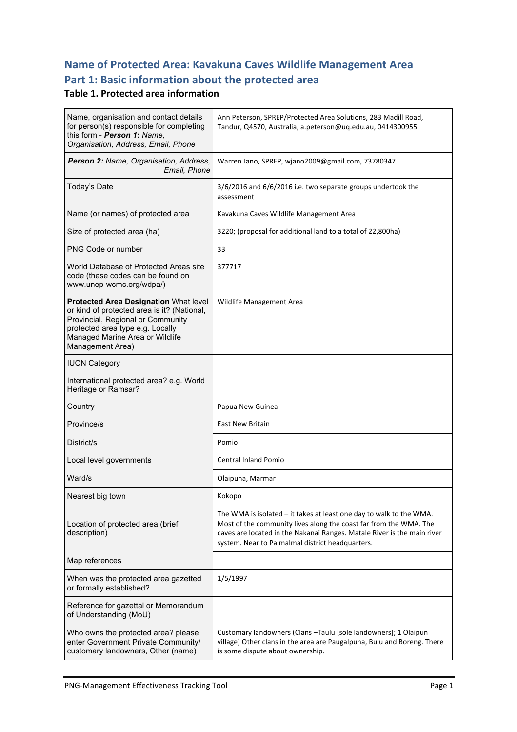# **Name of Protected Area: Kavakuna Caves Wildlife Management Area** Part 1: Basic information about the protected area

### **Table 1. Protected area information**

| Name, organisation and contact details<br>for person(s) responsible for completing<br>this form - Person 1: Name,<br>Organisation, Address, Email, Phone                                                             | Ann Peterson, SPREP/Protected Area Solutions, 283 Madill Road,<br>Tandur, Q4570, Australia, a.peterson@uq.edu.au, 0414300955.                                                                                                                                             |
|----------------------------------------------------------------------------------------------------------------------------------------------------------------------------------------------------------------------|---------------------------------------------------------------------------------------------------------------------------------------------------------------------------------------------------------------------------------------------------------------------------|
| Person 2: Name, Organisation, Address,<br>Email, Phone                                                                                                                                                               | Warren Jano, SPREP, wjano2009@gmail.com, 73780347.                                                                                                                                                                                                                        |
| Today's Date                                                                                                                                                                                                         | 3/6/2016 and 6/6/2016 i.e. two separate groups undertook the<br>assessment                                                                                                                                                                                                |
| Name (or names) of protected area                                                                                                                                                                                    | Kavakuna Caves Wildlife Management Area                                                                                                                                                                                                                                   |
| Size of protected area (ha)                                                                                                                                                                                          | 3220; (proposal for additional land to a total of 22,800ha)                                                                                                                                                                                                               |
| <b>PNG Code or number</b>                                                                                                                                                                                            | 33                                                                                                                                                                                                                                                                        |
| World Database of Protected Areas site<br>code (these codes can be found on<br>www.unep-wcmc.org/wdpa/)                                                                                                              | 377717                                                                                                                                                                                                                                                                    |
| Protected Area Designation What level<br>or kind of protected area is it? (National,<br>Provincial, Regional or Community<br>protected area type e.g. Locally<br>Managed Marine Area or Wildlife<br>Management Area) | Wildlife Management Area                                                                                                                                                                                                                                                  |
| <b>IUCN Category</b>                                                                                                                                                                                                 |                                                                                                                                                                                                                                                                           |
| International protected area? e.g. World<br>Heritage or Ramsar?                                                                                                                                                      |                                                                                                                                                                                                                                                                           |
| Country                                                                                                                                                                                                              | Papua New Guinea                                                                                                                                                                                                                                                          |
| Province/s                                                                                                                                                                                                           | <b>East New Britain</b>                                                                                                                                                                                                                                                   |
| District/s                                                                                                                                                                                                           | Pomio                                                                                                                                                                                                                                                                     |
| Local level governments                                                                                                                                                                                              | <b>Central Inland Pomio</b>                                                                                                                                                                                                                                               |
| Ward/s                                                                                                                                                                                                               | Olaipuna, Marmar                                                                                                                                                                                                                                                          |
| Nearest big town                                                                                                                                                                                                     | Kokopo                                                                                                                                                                                                                                                                    |
| Location of protected area (brief<br>description)                                                                                                                                                                    | The WMA is isolated $-$ it takes at least one day to walk to the WMA.<br>Most of the community lives along the coast far from the WMA. The<br>caves are located in the Nakanai Ranges. Matale River is the main river<br>system. Near to Palmalmal district headquarters. |
| Map references                                                                                                                                                                                                       |                                                                                                                                                                                                                                                                           |
| When was the protected area gazetted<br>or formally established?                                                                                                                                                     | 1/5/1997                                                                                                                                                                                                                                                                  |
| Reference for gazettal or Memorandum<br>of Understanding (MoU)                                                                                                                                                       |                                                                                                                                                                                                                                                                           |
| Who owns the protected area? please<br>enter Government Private Community/<br>customary landowners, Other (name)                                                                                                     | Customary landowners (Clans - Taulu [sole landowners]; 1 Olaipun<br>village) Other clans in the area are Paugalpuna, Bulu and Boreng. There<br>is some dispute about ownership.                                                                                           |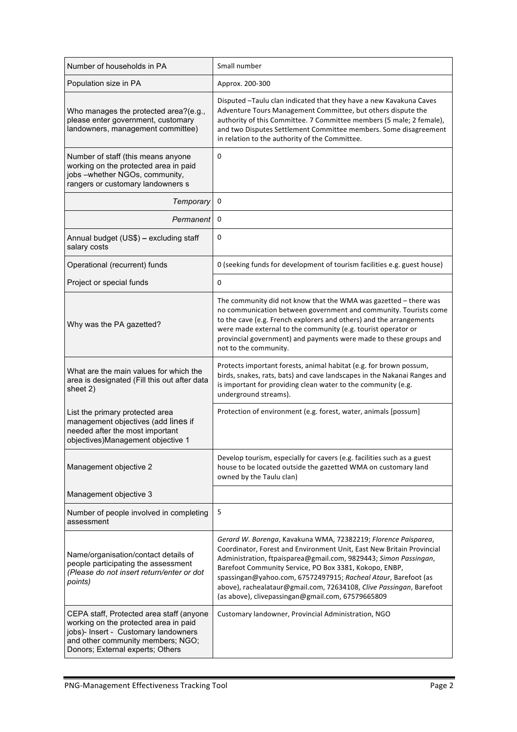| Number of households in PA                                                                                                                                                                         | Small number                                                                                                                                                                                                                                                                                                                                                                                                                                                        |
|----------------------------------------------------------------------------------------------------------------------------------------------------------------------------------------------------|---------------------------------------------------------------------------------------------------------------------------------------------------------------------------------------------------------------------------------------------------------------------------------------------------------------------------------------------------------------------------------------------------------------------------------------------------------------------|
| Population size in PA                                                                                                                                                                              | Approx. 200-300                                                                                                                                                                                                                                                                                                                                                                                                                                                     |
| Who manages the protected area?(e.g.,<br>please enter government, customary<br>landowners, management committee)                                                                                   | Disputed -Taulu clan indicated that they have a new Kavakuna Caves<br>Adventure Tours Management Committee, but others dispute the<br>authority of this Committee. 7 Committee members (5 male; 2 female),<br>and two Disputes Settlement Committee members. Some disagreement<br>in relation to the authority of the Committee.                                                                                                                                    |
| Number of staff (this means anyone<br>working on the protected area in paid<br>jobs-whether NGOs, community,<br>rangers or customary landowners s                                                  | 0                                                                                                                                                                                                                                                                                                                                                                                                                                                                   |
| Temporary                                                                                                                                                                                          | 0                                                                                                                                                                                                                                                                                                                                                                                                                                                                   |
| Permanent                                                                                                                                                                                          | 0                                                                                                                                                                                                                                                                                                                                                                                                                                                                   |
| Annual budget (US\$) - excluding staff<br>salary costs                                                                                                                                             | 0                                                                                                                                                                                                                                                                                                                                                                                                                                                                   |
| Operational (recurrent) funds                                                                                                                                                                      | O (seeking funds for development of tourism facilities e.g. guest house)                                                                                                                                                                                                                                                                                                                                                                                            |
| Project or special funds                                                                                                                                                                           | 0                                                                                                                                                                                                                                                                                                                                                                                                                                                                   |
| Why was the PA gazetted?                                                                                                                                                                           | The community did not know that the WMA was gazetted - there was<br>no communication between government and community. Tourists come<br>to the cave (e.g. French explorers and others) and the arrangements<br>were made external to the community (e.g. tourist operator or<br>provincial government) and payments were made to these groups and<br>not to the community.                                                                                          |
| What are the main values for which the<br>area is designated (Fill this out after data<br>sheet 2)                                                                                                 | Protects important forests, animal habitat (e.g. for brown possum,<br>birds, snakes, rats, bats) and cave landscapes in the Nakanai Ranges and<br>is important for providing clean water to the community (e.g.<br>underground streams).                                                                                                                                                                                                                            |
| List the primary protected area<br>management objectives (add lines if<br>needed after the most important<br>objectives)Management objective 1                                                     | Protection of environment (e.g. forest, water, animals [possum]                                                                                                                                                                                                                                                                                                                                                                                                     |
| Management objective 2                                                                                                                                                                             | Develop tourism, especially for cavers (e.g. facilities such as a guest<br>house to be located outside the gazetted WMA on customary land<br>owned by the Taulu clan)                                                                                                                                                                                                                                                                                               |
| Management objective 3                                                                                                                                                                             |                                                                                                                                                                                                                                                                                                                                                                                                                                                                     |
| Number of people involved in completing<br>assessment                                                                                                                                              | 5                                                                                                                                                                                                                                                                                                                                                                                                                                                                   |
| Name/organisation/contact details of<br>people participating the assessment<br>(Please do not insert return/enter or dot<br>points)                                                                | Gerard W. Borenga, Kavakuna WMA, 72382219; Florence Paisparea,<br>Coordinator, Forest and Environment Unit, East New Britain Provincial<br>Administration, ftpaisparea@gmail.com, 9829443; Simon Passingan,<br>Barefoot Community Service, PO Box 3381, Kokopo, ENBP,<br>spassingan@yahoo.com, 67572497915; Racheal Ataur, Barefoot (as<br>above), rachealataur@gmail.com, 72634108, Clive Passingan, Barefoot<br>(as above), clivepassingan@gmail.com, 67579665809 |
| CEPA staff, Protected area staff (anyone<br>working on the protected area in paid<br>jobs)- Insert - Customary landowners<br>and other community members; NGO;<br>Donors; External experts; Others | Customary landowner, Provincial Administration, NGO                                                                                                                                                                                                                                                                                                                                                                                                                 |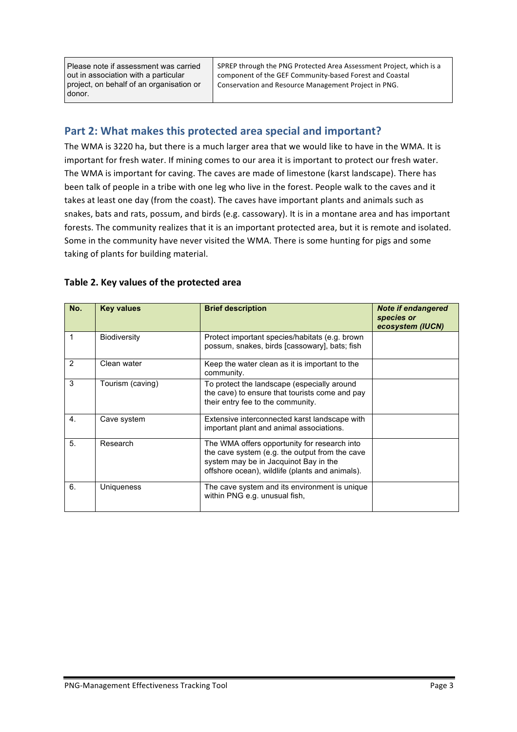Please note if assessment was carried out in association with a particular project, on behalf of an organisation or donor.

SPREP through the PNG Protected Area Assessment Project, which is a component of the GEF Community-based Forest and Coastal Conservation and Resource Management Project in PNG.

### Part 2: What makes this protected area special and important?

The WMA is 3220 ha, but there is a much larger area that we would like to have in the WMA. It is important for fresh water. If mining comes to our area it is important to protect our fresh water. The WMA is important for caving. The caves are made of limestone (karst landscape). There has been talk of people in a tribe with one leg who live in the forest. People walk to the caves and it takes at least one day (from the coast). The caves have important plants and animals such as snakes, bats and rats, possum, and birds (e.g. cassowary). It is in a montane area and has important forests. The community realizes that it is an important protected area, but it is remote and isolated. Some in the community have never visited the WMA. There is some hunting for pigs and some taking of plants for building material.

| No.              | <b>Key values</b>   | <b>Brief description</b>                                                                                                                                                                   | <b>Note if endangered</b><br>species or<br>ecosystem (IUCN) |
|------------------|---------------------|--------------------------------------------------------------------------------------------------------------------------------------------------------------------------------------------|-------------------------------------------------------------|
| 1                | <b>Biodiversity</b> | Protect important species/habitats (e.g. brown<br>possum, snakes, birds [cassowary], bats; fish                                                                                            |                                                             |
| $\mathcal{P}$    | Clean water         | Keep the water clean as it is important to the<br>community.                                                                                                                               |                                                             |
| 3                | Tourism (caving)    | To protect the landscape (especially around<br>the cave) to ensure that tourists come and pay<br>their entry fee to the community.                                                         |                                                             |
| $\overline{4}$ . | Cave system         | Extensive interconnected karst landscape with<br>important plant and animal associations.                                                                                                  |                                                             |
| 5.               | Research            | The WMA offers opportunity for research into<br>the cave system (e.g. the output from the cave<br>system may be in Jacquinot Bay in the<br>offshore ocean), wildlife (plants and animals). |                                                             |
| 6.               | Uniqueness          | The cave system and its environment is unique<br>within PNG e.g. unusual fish,                                                                                                             |                                                             |

#### Table 2. Key values of the protected area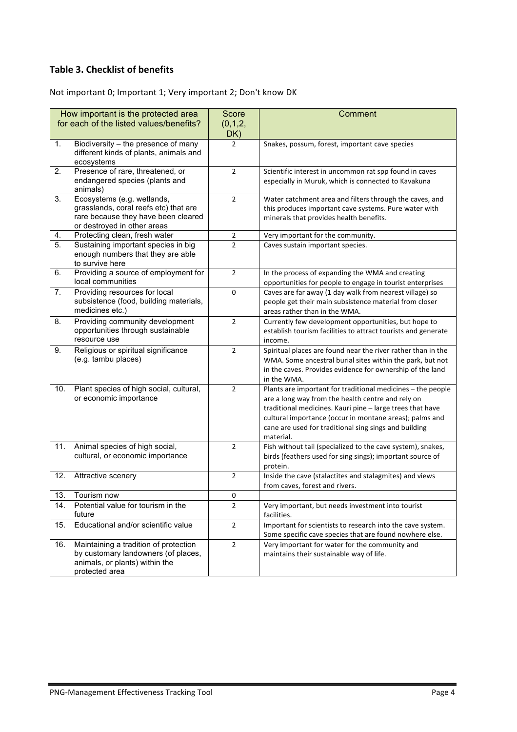### **Table 3. Checklist of benefits**

Not important 0; Important 1; Very important 2; Don't know DK

|     | How important is the protected area                                          | <b>Score</b>   | Comment                                                                                    |
|-----|------------------------------------------------------------------------------|----------------|--------------------------------------------------------------------------------------------|
|     | for each of the listed values/benefits?                                      | (0,1,2,        |                                                                                            |
|     |                                                                              | DK)            |                                                                                            |
| 1.  | Biodiversity - the presence of many                                          | $\overline{2}$ | Snakes, possum, forest, important cave species                                             |
|     | different kinds of plants, animals and<br>ecosystems                         |                |                                                                                            |
| 2.  | Presence of rare, threatened, or                                             | $\overline{2}$ | Scientific interest in uncommon rat spp found in caves                                     |
|     | endangered species (plants and<br>animals)                                   |                | especially in Muruk, which is connected to Kavakuna                                        |
| 3.  | Ecosystems (e.g. wetlands,                                                   | $\overline{2}$ | Water catchment area and filters through the caves, and                                    |
|     | grasslands, coral reefs etc) that are                                        |                | this produces important cave systems. Pure water with                                      |
|     | rare because they have been cleared<br>or destroyed in other areas           |                | minerals that provides health benefits.                                                    |
| 4.  | Protecting clean, fresh water                                                | $\overline{2}$ | Very important for the community.                                                          |
| 5.  | Sustaining important species in big                                          | $\overline{2}$ | Caves sustain important species.                                                           |
|     | enough numbers that they are able<br>to survive here                         |                |                                                                                            |
| 6.  | Providing a source of employment for                                         | $\overline{2}$ | In the process of expanding the WMA and creating                                           |
|     | local communities                                                            |                | opportunities for people to engage in tourist enterprises                                  |
| 7.  | Providing resources for local                                                | 0              | Caves are far away (1 day walk from nearest village) so                                    |
|     | subsistence (food, building materials,                                       |                | people get their main subsistence material from closer                                     |
|     | medicines etc.)                                                              |                | areas rather than in the WMA.                                                              |
| 8.  | Providing community development                                              | $\overline{2}$ | Currently few development opportunities, but hope to                                       |
|     | opportunities through sustainable<br>resource use                            |                | establish tourism facilities to attract tourists and generate<br>income.                   |
| 9.  | Religious or spiritual significance                                          | $\overline{2}$ | Spiritual places are found near the river rather than in the                               |
|     | (e.g. tambu places)                                                          |                | WMA. Some ancestral burial sites within the park, but not                                  |
|     |                                                                              |                | in the caves. Provides evidence for ownership of the land                                  |
|     |                                                                              |                | in the WMA.                                                                                |
| 10. | Plant species of high social, cultural,                                      | $\overline{2}$ | Plants are important for traditional medicines - the people                                |
|     | or economic importance                                                       |                | are a long way from the health centre and rely on                                          |
|     |                                                                              |                | traditional medicines. Kauri pine - large trees that have                                  |
|     |                                                                              |                | cultural importance (occur in montane areas); palms and                                    |
|     |                                                                              |                | cane are used for traditional sing sings and building                                      |
|     |                                                                              |                | material.                                                                                  |
| 11. | Animal species of high social,                                               | $\overline{2}$ | Fish without tail (specialized to the cave system), snakes,                                |
|     | cultural, or economic importance                                             |                | birds (feathers used for sing sings); important source of<br>protein.                      |
| 12. | Attractive scenery                                                           | $\overline{2}$ | Inside the cave (stalactites and stalagmites) and views                                    |
|     |                                                                              |                | from caves, forest and rivers.                                                             |
| 13. | Tourism now                                                                  | 0              |                                                                                            |
| 14. | Potential value for tourism in the                                           | $\overline{2}$ | Very important, but needs investment into tourist                                          |
|     | future                                                                       |                | facilities.                                                                                |
| 15. | Educational and/or scientific value                                          | $\overline{2}$ | Important for scientists to research into the cave system.                                 |
|     |                                                                              |                | Some specific cave species that are found nowhere else.                                    |
| 16. | Maintaining a tradition of protection<br>by customary landowners (of places, | $\overline{2}$ | Very important for water for the community and<br>maintains their sustainable way of life. |
|     | animals, or plants) within the                                               |                |                                                                                            |
|     | protected area                                                               |                |                                                                                            |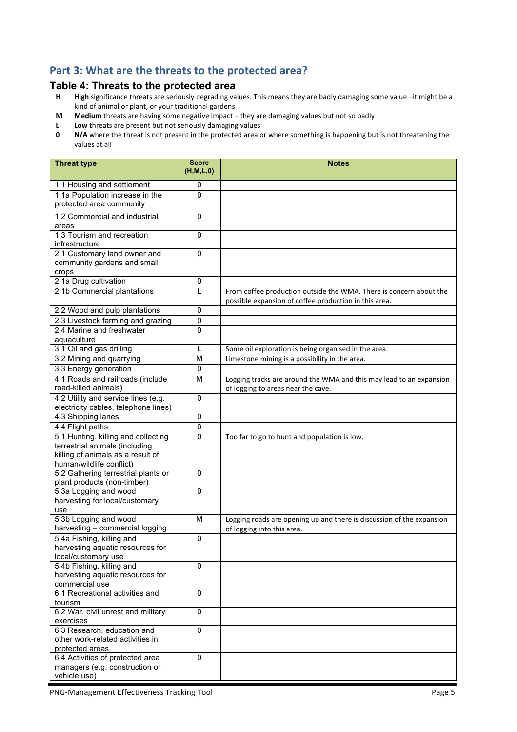### Part 3: What are the threats to the protected area?

# **Table 4: Threats to the protected area**<br>**H** High significance threats are seriously degrading val

- High significance threats are seriously degrading values. This means they are badly damaging some value -it might be a kind of animal or plant, or your traditional gardens
- **M** Medium threats are having some negative impact they are damaging values but not so badly
- **L** Low threats are present but not seriously damaging values<br>**0** N/A where the threat is not present in the protected area c
- **N/A** where the threat is not present in the protected area or where something is happening but is not threatening the values at all

| <b>Threat type</b>                                                                              | <b>Score</b><br>(H, M, L, 0) | <b>Notes</b>                                                                                                                |
|-------------------------------------------------------------------------------------------------|------------------------------|-----------------------------------------------------------------------------------------------------------------------------|
| 1.1 Housing and settlement                                                                      | 0                            |                                                                                                                             |
| 1.1a Population increase in the<br>protected area community                                     | 0                            |                                                                                                                             |
| 1.2 Commercial and industrial<br>areas                                                          | $\mathbf 0$                  |                                                                                                                             |
| 1.3 Tourism and recreation<br>infrastructure                                                    | $\overline{0}$               |                                                                                                                             |
| 2.1 Customary land owner and<br>community gardens and small<br>crops                            | $\mathbf 0$                  |                                                                                                                             |
| 2.1a Drug cultivation                                                                           | 0                            |                                                                                                                             |
| 2.1b Commercial plantations                                                                     | L                            | From coffee production outside the WMA. There is concern about the<br>possible expansion of coffee production in this area. |
| 2.2 Wood and pulp plantations                                                                   | $\mathbf 0$                  |                                                                                                                             |
| 2.3 Livestock farming and grazing                                                               | $\pmb{0}$                    |                                                                                                                             |
| 2.4 Marine and freshwater                                                                       | 0                            |                                                                                                                             |
| aquaculture                                                                                     |                              |                                                                                                                             |
| 3.1 Oil and gas drilling                                                                        | L                            | Some oil exploration is being organised in the area.                                                                        |
| 3.2 Mining and quarrying                                                                        | M                            | Limestone mining is a possibility in the area.                                                                              |
| 3.3 Energy generation                                                                           | $\mathbf 0$                  |                                                                                                                             |
| 4.1 Roads and railroads (include                                                                | M                            | Logging tracks are around the WMA and this may lead to an expansion                                                         |
| road-killed animals)                                                                            |                              | of logging to areas near the cave.                                                                                          |
| 4.2 Utility and service lines (e.g.                                                             | $\Omega$                     |                                                                                                                             |
| electricity cables, telephone lines)                                                            |                              |                                                                                                                             |
| 4.3 Shipping lanes                                                                              | $\mathbf 0$                  |                                                                                                                             |
| 4.4 Flight paths                                                                                | $\mathbf 0$                  |                                                                                                                             |
| 5.1 Hunting, killing and collecting                                                             | 0                            | Too far to go to hunt and population is low.                                                                                |
| terrestrial animals (including<br>killing of animals as a result of<br>human/wildlife conflict) |                              |                                                                                                                             |
| 5.2 Gathering terrestrial plants or<br>plant products (non-timber)                              | $\mathbf 0$                  |                                                                                                                             |
| 5.3a Logging and wood<br>harvesting for local/customary<br>use                                  | $\mathbf 0$                  |                                                                                                                             |
| 5.3b Logging and wood                                                                           | M                            | Logging roads are opening up and there is discussion of the expansion                                                       |
| harvesting - commercial logging                                                                 |                              | of logging into this area.                                                                                                  |
| 5.4a Fishing, killing and                                                                       | $\mathbf 0$                  |                                                                                                                             |
| harvesting aquatic resources for<br>local/customary use                                         |                              |                                                                                                                             |
| 5.4b Fishing, killing and<br>harvesting aquatic resources for<br>commercial use                 | $\mathbf 0$                  |                                                                                                                             |
| 6.1 Recreational activities and<br>tourism                                                      | $\mathbf 0$                  |                                                                                                                             |
| 6.2 War, civil unrest and military<br>exercises                                                 | 0                            |                                                                                                                             |
| 6.3 Research, education and<br>other work-related activities in<br>protected areas              | $\mathbf 0$                  |                                                                                                                             |
| 6.4 Activities of protected area<br>managers (e.g. construction or<br>vehicle use)              | $\Omega$                     |                                                                                                                             |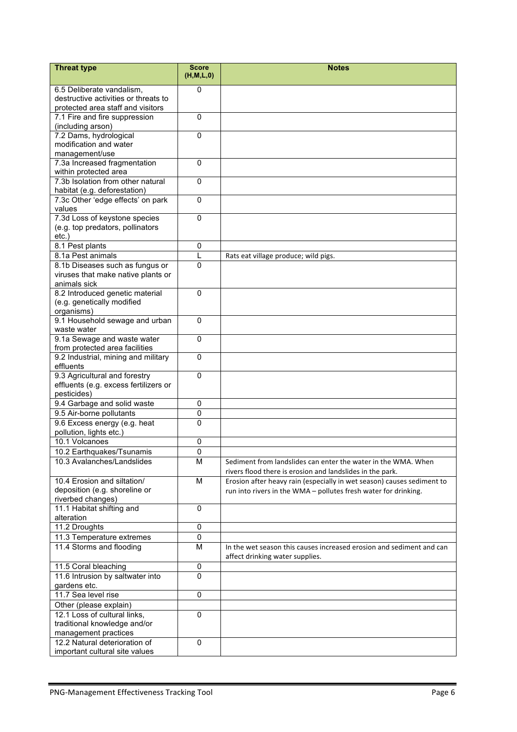| <b>Threat type</b>                                                    | <b>Score</b><br>(H,M,L,0) | <b>Notes</b>                                                           |
|-----------------------------------------------------------------------|---------------------------|------------------------------------------------------------------------|
| 6.5 Deliberate vandalism,                                             | 0                         |                                                                        |
| destructive activities or threats to                                  |                           |                                                                        |
| protected area staff and visitors                                     |                           |                                                                        |
| 7.1 Fire and fire suppression                                         | $\Omega$                  |                                                                        |
| (including arson)                                                     |                           |                                                                        |
| 7.2 Dams, hydrological                                                | $\mathbf{0}$              |                                                                        |
| modification and water                                                |                           |                                                                        |
| management/use                                                        |                           |                                                                        |
| 7.3a Increased fragmentation                                          | $\Omega$                  |                                                                        |
| within protected area                                                 |                           |                                                                        |
| 7.3b Isolation from other natural                                     | $\Omega$                  |                                                                        |
| habitat (e.g. deforestation)                                          |                           |                                                                        |
| 7.3c Other 'edge effects' on park                                     | $\mathbf 0$               |                                                                        |
| values                                                                |                           |                                                                        |
| 7.3d Loss of keystone species                                         | 0                         |                                                                        |
| (e.g. top predators, pollinators                                      |                           |                                                                        |
| $etc.$ )                                                              |                           |                                                                        |
| 8.1 Pest plants                                                       | 0<br>L                    |                                                                        |
| 8.1a Pest animals                                                     | $\Omega$                  | Rats eat village produce; wild pigs.                                   |
| 8.1b Diseases such as fungus or<br>viruses that make native plants or |                           |                                                                        |
| animals sick                                                          |                           |                                                                        |
| 8.2 Introduced genetic material                                       | 0                         |                                                                        |
| (e.g. genetically modified                                            |                           |                                                                        |
| organisms)                                                            |                           |                                                                        |
| 9.1 Household sewage and urban                                        | $\mathbf{0}$              |                                                                        |
| waste water                                                           |                           |                                                                        |
| 9.1a Sewage and waste water                                           | $\mathbf 0$               |                                                                        |
| from protected area facilities                                        |                           |                                                                        |
| 9.2 Industrial, mining and military                                   | $\Omega$                  |                                                                        |
| effluents                                                             |                           |                                                                        |
| 9.3 Agricultural and forestry                                         | $\Omega$                  |                                                                        |
| effluents (e.g. excess fertilizers or                                 |                           |                                                                        |
| pesticides)                                                           |                           |                                                                        |
| 9.4 Garbage and solid waste                                           | 0                         |                                                                        |
| 9.5 Air-borne pollutants                                              | 0                         |                                                                        |
| 9.6 Excess energy (e.g. heat                                          | $\mathbf 0$               |                                                                        |
| pollution, lights etc.)                                               | 0                         |                                                                        |
| 10.1 Volcanoes<br>10.2 Earthquakes/Tsunamis                           | 0                         |                                                                        |
|                                                                       | M                         |                                                                        |
| 10.3 Avalanches/Landslides                                            |                           | Sediment from landslides can enter the water in the WMA. When          |
|                                                                       |                           | rivers flood there is erosion and landslides in the park.              |
| 10.4 Erosion and siltation/<br>deposition (e.g. shoreline or          | M                         | Erosion after heavy rain (especially in wet season) causes sediment to |
| riverbed changes)                                                     |                           | run into rivers in the WMA - pollutes fresh water for drinking.        |
| 11.1 Habitat shifting and                                             | $\mathbf 0$               |                                                                        |
| alteration                                                            |                           |                                                                        |
| 11.2 Droughts                                                         | $\pmb{0}$                 |                                                                        |
| 11.3 Temperature extremes                                             | $\pmb{0}$                 |                                                                        |
| 11.4 Storms and flooding                                              | M                         | In the wet season this causes increased erosion and sediment and can   |
|                                                                       |                           | affect drinking water supplies.                                        |
| 11.5 Coral bleaching                                                  | $\mathbf 0$               |                                                                        |
| 11.6 Intrusion by saltwater into                                      | $\mathbf{0}$              |                                                                        |
| gardens etc.                                                          |                           |                                                                        |
| 11.7 Sea level rise                                                   | $\mathbf 0$               |                                                                        |
| Other (please explain)                                                |                           |                                                                        |
| 12.1 Loss of cultural links,                                          | $\boldsymbol{0}$          |                                                                        |
| traditional knowledge and/or                                          |                           |                                                                        |
| management practices                                                  |                           |                                                                        |
| 12.2 Natural deterioration of                                         | $\mathbf 0$               |                                                                        |
| important cultural site values                                        |                           |                                                                        |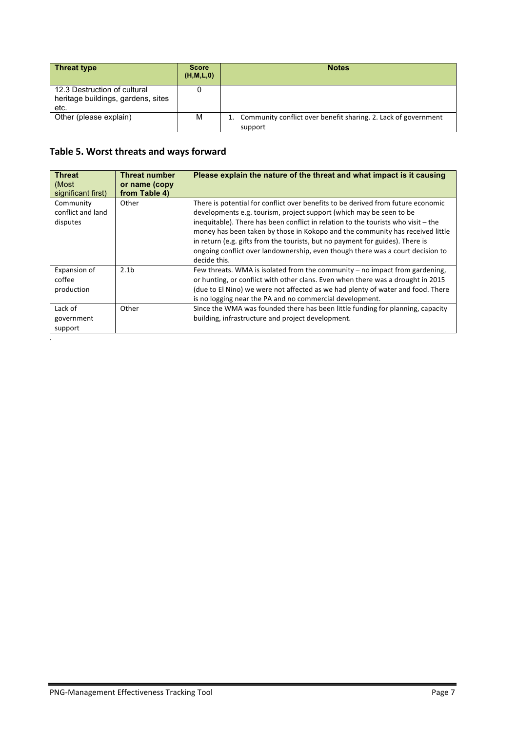| <b>Threat type</b>                                                         | <b>Score</b><br>(H, M, L, 0) | <b>Notes</b>                                                                 |
|----------------------------------------------------------------------------|------------------------------|------------------------------------------------------------------------------|
| 12.3 Destruction of cultural<br>heritage buildings, gardens, sites<br>etc. |                              |                                                                              |
| Other (please explain)                                                     | М                            | 1. Community conflict over benefit sharing. 2. Lack of government<br>support |

## Table 5. Worst threats and ways forward

.

| <b>Threat</b><br>(Most<br>significant first) | <b>Threat number</b><br>or name (copy<br>from Table 4) | Please explain the nature of the threat and what impact is it causing                                                                                                                                                                                                                                                                                                                                                                                                                                            |
|----------------------------------------------|--------------------------------------------------------|------------------------------------------------------------------------------------------------------------------------------------------------------------------------------------------------------------------------------------------------------------------------------------------------------------------------------------------------------------------------------------------------------------------------------------------------------------------------------------------------------------------|
| Community<br>conflict and land<br>disputes   | Other                                                  | There is potential for conflict over benefits to be derived from future economic<br>developments e.g. tourism, project support (which may be seen to be<br>inequitable). There has been conflict in relation to the tourists who visit - the<br>money has been taken by those in Kokopo and the community has received little<br>in return (e.g. gifts from the tourists, but no payment for guides). There is<br>ongoing conflict over landownership, even though there was a court decision to<br>decide this. |
| Expansion of<br>coffee<br>production         | 2.1 <sub>b</sub>                                       | Few threats. WMA is isolated from the community $-$ no impact from gardening,<br>or hunting, or conflict with other clans. Even when there was a drought in 2015<br>(due to El Nino) we were not affected as we had plenty of water and food. There<br>is no logging near the PA and no commercial development.                                                                                                                                                                                                  |
| Lack of<br>government<br>support             | Other                                                  | Since the WMA was founded there has been little funding for planning, capacity<br>building, infrastructure and project development.                                                                                                                                                                                                                                                                                                                                                                              |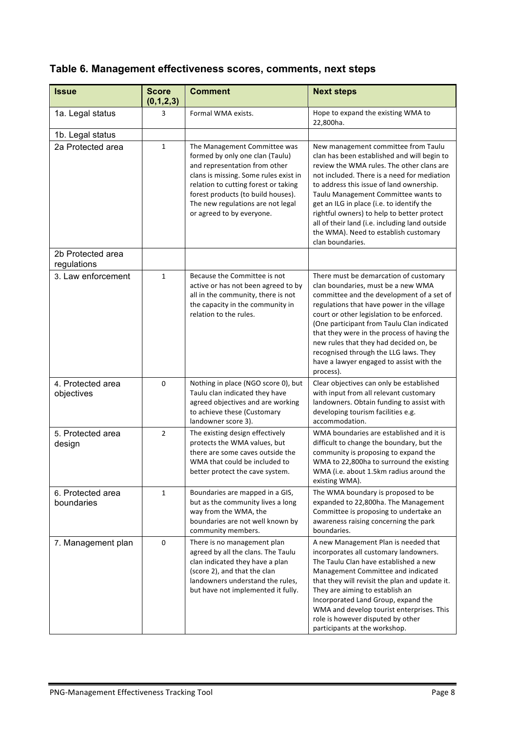|  |  | Table 6. Management effectiveness scores, comments, next steps |  |  |  |
|--|--|----------------------------------------------------------------|--|--|--|
|--|--|----------------------------------------------------------------|--|--|--|

| <b>Issue</b>                     | <b>Score</b><br>(0,1,2,3) | <b>Comment</b>                                                                                                                                                                                                                                                                            | <b>Next steps</b>                                                                                                                                                                                                                                                                                                                                                                                                                                                           |
|----------------------------------|---------------------------|-------------------------------------------------------------------------------------------------------------------------------------------------------------------------------------------------------------------------------------------------------------------------------------------|-----------------------------------------------------------------------------------------------------------------------------------------------------------------------------------------------------------------------------------------------------------------------------------------------------------------------------------------------------------------------------------------------------------------------------------------------------------------------------|
| 1a. Legal status                 | 3                         | Formal WMA exists.                                                                                                                                                                                                                                                                        | Hope to expand the existing WMA to<br>22,800ha.                                                                                                                                                                                                                                                                                                                                                                                                                             |
| 1b. Legal status                 |                           |                                                                                                                                                                                                                                                                                           |                                                                                                                                                                                                                                                                                                                                                                                                                                                                             |
| 2a Protected area                | $\mathbf{1}$              | The Management Committee was<br>formed by only one clan (Taulu)<br>and representation from other<br>clans is missing. Some rules exist in<br>relation to cutting forest or taking<br>forest products (to build houses).<br>The new regulations are not legal<br>or agreed to by everyone. | New management committee from Taulu<br>clan has been established and will begin to<br>review the WMA rules. The other clans are<br>not included. There is a need for mediation<br>to address this issue of land ownership.<br>Taulu Management Committee wants to<br>get an ILG in place (i.e. to identify the<br>rightful owners) to help to better protect<br>all of their land (i.e. including land outside<br>the WMA). Need to establish customary<br>clan boundaries. |
| 2b Protected area<br>regulations |                           |                                                                                                                                                                                                                                                                                           |                                                                                                                                                                                                                                                                                                                                                                                                                                                                             |
| 3. Law enforcement               | $\mathbf{1}$              | Because the Committee is not<br>active or has not been agreed to by<br>all in the community, there is not<br>the capacity in the community in<br>relation to the rules.                                                                                                                   | There must be demarcation of customary<br>clan boundaries, must be a new WMA<br>committee and the development of a set of<br>regulations that have power in the village<br>court or other legislation to be enforced.<br>(One participant from Taulu Clan indicated<br>that they were in the process of having the<br>new rules that they had decided on, be<br>recognised through the LLG laws. They<br>have a lawyer engaged to assist with the<br>process).              |
| 4. Protected area<br>objectives  | 0                         | Nothing in place (NGO score 0), but<br>Taulu clan indicated they have<br>agreed objectives and are working<br>to achieve these (Customary<br>landowner score 3).                                                                                                                          | Clear objectives can only be established<br>with input from all relevant customary<br>landowners. Obtain funding to assist with<br>developing tourism facilities e.g.<br>accommodation.                                                                                                                                                                                                                                                                                     |
| 5. Protected area<br>design      | $\overline{2}$            | The existing design effectively<br>protects the WMA values, but<br>there are some caves outside the<br>WMA that could be included to<br>better protect the cave system.                                                                                                                   | WMA boundaries are established and it is<br>difficult to change the boundary, but the<br>community is proposing to expand the<br>WMA to 22,800ha to surround the existing<br>WMA (i.e. about 1.5km radius around the<br>existing WMA).                                                                                                                                                                                                                                      |
| 6. Protected area<br>boundaries  | 1                         | Boundaries are mapped in a GIS,<br>but as the community lives a long<br>way from the WMA, the<br>boundaries are not well known by<br>community members.                                                                                                                                   | The WMA boundary is proposed to be<br>expanded to 22,800ha. The Management<br>Committee is proposing to undertake an<br>awareness raising concerning the park<br>boundaries.                                                                                                                                                                                                                                                                                                |
| 7. Management plan               | $\pmb{0}$                 | There is no management plan<br>agreed by all the clans. The Taulu<br>clan indicated they have a plan<br>(score 2), and that the clan<br>landowners understand the rules,<br>but have not implemented it fully.                                                                            | A new Management Plan is needed that<br>incorporates all customary landowners.<br>The Taulu Clan have established a new<br>Management Committee and indicated<br>that they will revisit the plan and update it.<br>They are aiming to establish an<br>Incorporated Land Group, expand the<br>WMA and develop tourist enterprises. This<br>role is however disputed by other<br>participants at the workshop.                                                                |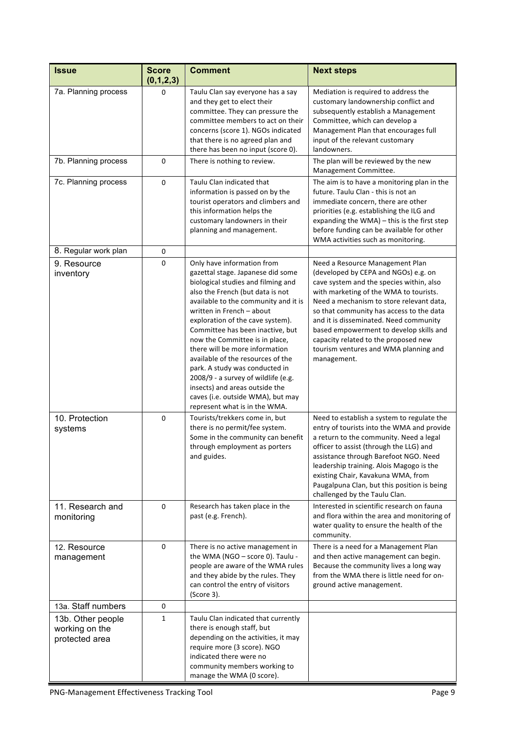| <b>Issue</b>                                          | <b>Score</b><br>(0,1,2,3) | <b>Comment</b>                                                                                                                                                                                                                                                                                                                                                                                                                                                                                                                                                                   | <b>Next steps</b>                                                                                                                                                                                                                                                                                                                                                                                                                          |
|-------------------------------------------------------|---------------------------|----------------------------------------------------------------------------------------------------------------------------------------------------------------------------------------------------------------------------------------------------------------------------------------------------------------------------------------------------------------------------------------------------------------------------------------------------------------------------------------------------------------------------------------------------------------------------------|--------------------------------------------------------------------------------------------------------------------------------------------------------------------------------------------------------------------------------------------------------------------------------------------------------------------------------------------------------------------------------------------------------------------------------------------|
| 7a. Planning process                                  | 0                         | Taulu Clan say everyone has a say<br>and they get to elect their<br>committee. They can pressure the<br>committee members to act on their<br>concerns (score 1). NGOs indicated<br>that there is no agreed plan and<br>there has been no input (score 0).                                                                                                                                                                                                                                                                                                                        | Mediation is required to address the<br>customary landownership conflict and<br>subsequently establish a Management<br>Committee, which can develop a<br>Management Plan that encourages full<br>input of the relevant customary<br>landowners.                                                                                                                                                                                            |
| 7b. Planning process                                  | $\mathbf 0$               | There is nothing to review.                                                                                                                                                                                                                                                                                                                                                                                                                                                                                                                                                      | The plan will be reviewed by the new<br>Management Committee.                                                                                                                                                                                                                                                                                                                                                                              |
| 7c. Planning process                                  | $\mathbf 0$               | Taulu Clan indicated that<br>information is passed on by the<br>tourist operators and climbers and<br>this information helps the<br>customary landowners in their<br>planning and management.                                                                                                                                                                                                                                                                                                                                                                                    | The aim is to have a monitoring plan in the<br>future. Taulu Clan - this is not an<br>immediate concern, there are other<br>priorities (e.g. establishing the ILG and<br>expanding the WMA) - this is the first step<br>before funding can be available for other<br>WMA activities such as monitoring.                                                                                                                                    |
| 8. Regular work plan                                  | 0                         |                                                                                                                                                                                                                                                                                                                                                                                                                                                                                                                                                                                  |                                                                                                                                                                                                                                                                                                                                                                                                                                            |
| 9. Resource<br>inventory                              | 0                         | Only have information from<br>gazettal stage. Japanese did some<br>biological studies and filming and<br>also the French (but data is not<br>available to the community and it is<br>written in French - about<br>exploration of the cave system).<br>Committee has been inactive, but<br>now the Committee is in place,<br>there will be more information<br>available of the resources of the<br>park. A study was conducted in<br>2008/9 - a survey of wildlife (e.g.<br>insects) and areas outside the<br>caves (i.e. outside WMA), but may<br>represent what is in the WMA. | Need a Resource Management Plan<br>(developed by CEPA and NGOs) e.g. on<br>cave system and the species within, also<br>with marketing of the WMA to tourists.<br>Need a mechanism to store relevant data,<br>so that community has access to the data<br>and it is disseminated. Need community<br>based empowerment to develop skills and<br>capacity related to the proposed new<br>tourism ventures and WMA planning and<br>management. |
| 10. Protection<br>systems                             | 0                         | Tourists/trekkers come in, but<br>there is no permit/fee system.<br>Some in the community can benefit<br>through employment as porters<br>and guides.                                                                                                                                                                                                                                                                                                                                                                                                                            | Need to establish a system to regulate the<br>entry of tourists into the WMA and provide<br>a return to the community. Need a legal<br>officer to assist (through the LLG) and<br>assistance through Barefoot NGO. Need<br>leadership training. Alois Magogo is the<br>existing Chair, Kavakuna WMA, from<br>Paugalpuna Clan, but this position is being<br>challenged by the Taulu Clan.                                                  |
| 11. Research and<br>monitoring                        | 0                         | Research has taken place in the<br>past (e.g. French).                                                                                                                                                                                                                                                                                                                                                                                                                                                                                                                           | Interested in scientific research on fauna<br>and flora within the area and monitoring of<br>water quality to ensure the health of the<br>community.                                                                                                                                                                                                                                                                                       |
| 12. Resource<br>management                            | 0                         | There is no active management in<br>the WMA (NGO - score 0). Taulu -<br>people are aware of the WMA rules<br>and they abide by the rules. They<br>can control the entry of visitors<br>(Score 3).                                                                                                                                                                                                                                                                                                                                                                                | There is a need for a Management Plan<br>and then active management can begin.<br>Because the community lives a long way<br>from the WMA there is little need for on-<br>ground active management.                                                                                                                                                                                                                                         |
| 13a. Staff numbers                                    | 0                         |                                                                                                                                                                                                                                                                                                                                                                                                                                                                                                                                                                                  |                                                                                                                                                                                                                                                                                                                                                                                                                                            |
| 13b. Other people<br>working on the<br>protected area | $\mathbf{1}$              | Taulu Clan indicated that currently<br>there is enough staff, but<br>depending on the activities, it may<br>require more (3 score). NGO<br>indicated there were no<br>community members working to<br>manage the WMA (0 score).                                                                                                                                                                                                                                                                                                                                                  |                                                                                                                                                                                                                                                                                                                                                                                                                                            |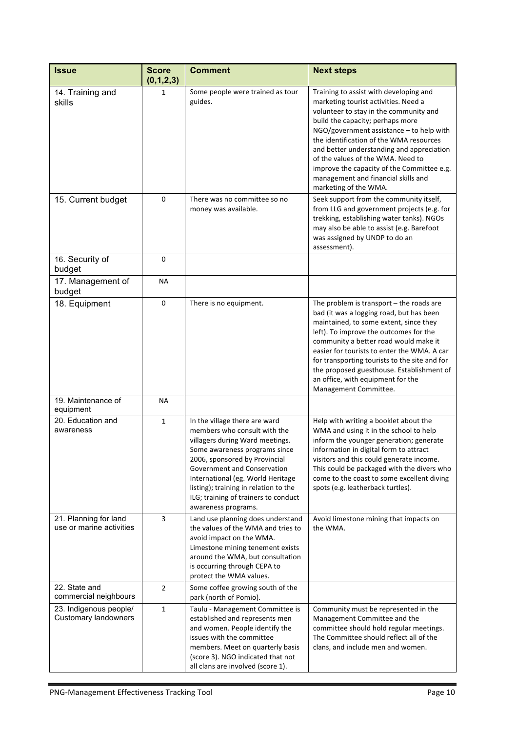| <b>Issue</b>                                          | <b>Score</b><br>(0,1,2,3) | <b>Comment</b>                                                                                                                                                                                                                                                                                                                                 | <b>Next steps</b>                                                                                                                                                                                                                                                                                                                                                                                                                                       |
|-------------------------------------------------------|---------------------------|------------------------------------------------------------------------------------------------------------------------------------------------------------------------------------------------------------------------------------------------------------------------------------------------------------------------------------------------|---------------------------------------------------------------------------------------------------------------------------------------------------------------------------------------------------------------------------------------------------------------------------------------------------------------------------------------------------------------------------------------------------------------------------------------------------------|
| 14. Training and<br>skills                            | 1                         | Some people were trained as tour<br>guides.                                                                                                                                                                                                                                                                                                    | Training to assist with developing and<br>marketing tourist activities. Need a<br>volunteer to stay in the community and<br>build the capacity; perhaps more<br>$NGO/government$ assistance $-$ to help with<br>the identification of the WMA resources<br>and better understanding and appreciation<br>of the values of the WMA. Need to<br>improve the capacity of the Committee e.g.<br>management and financial skills and<br>marketing of the WMA. |
| 15. Current budget                                    | 0                         | There was no committee so no<br>money was available.                                                                                                                                                                                                                                                                                           | Seek support from the community itself,<br>from LLG and government projects (e.g. for<br>trekking, establishing water tanks). NGOs<br>may also be able to assist (e.g. Barefoot<br>was assigned by UNDP to do an<br>assessment).                                                                                                                                                                                                                        |
| 16. Security of<br>budget                             | 0                         |                                                                                                                                                                                                                                                                                                                                                |                                                                                                                                                                                                                                                                                                                                                                                                                                                         |
| 17. Management of<br>budget                           | ΝA                        |                                                                                                                                                                                                                                                                                                                                                |                                                                                                                                                                                                                                                                                                                                                                                                                                                         |
| 18. Equipment                                         | 0                         | There is no equipment.                                                                                                                                                                                                                                                                                                                         | The problem is transport $-$ the roads are<br>bad (it was a logging road, but has been<br>maintained, to some extent, since they<br>left). To improve the outcomes for the<br>community a better road would make it<br>easier for tourists to enter the WMA. A car<br>for transporting tourists to the site and for<br>the proposed guesthouse. Establishment of<br>an office, with equipment for the<br>Management Committee.                          |
| 19. Maintenance of<br>equipment                       | <b>NA</b>                 |                                                                                                                                                                                                                                                                                                                                                |                                                                                                                                                                                                                                                                                                                                                                                                                                                         |
| 20. Education and<br>awareness                        | 1                         | In the village there are ward<br>members who consult with the<br>villagers during Ward meetings.<br>Some awareness programs since<br>2006, sponsored by Provincial<br>Government and Conservation<br>International (eg. World Heritage<br>listing); training in relation to the<br>ILG; training of trainers to conduct<br>awareness programs. | Help with writing a booklet about the<br>WMA and using it in the school to help<br>inform the younger generation; generate<br>information in digital form to attract<br>visitors and this could generate income.<br>This could be packaged with the divers who<br>come to the coast to some excellent diving<br>spots (e.g. leatherback turtles).                                                                                                       |
| 21. Planning for land<br>use or marine activities     | 3                         | Land use planning does understand<br>the values of the WMA and tries to<br>avoid impact on the WMA.<br>Limestone mining tenement exists<br>around the WMA, but consultation<br>is occurring through CEPA to<br>protect the WMA values.                                                                                                         | Avoid limestone mining that impacts on<br>the WMA.                                                                                                                                                                                                                                                                                                                                                                                                      |
| 22. State and<br>commercial neighbours                | $\overline{2}$            | Some coffee growing south of the<br>park (north of Pomio).                                                                                                                                                                                                                                                                                     |                                                                                                                                                                                                                                                                                                                                                                                                                                                         |
| 23. Indigenous people/<br><b>Customary landowners</b> | $\mathbf{1}$              | Taulu - Management Committee is<br>established and represents men<br>and women. People identify the<br>issues with the committee<br>members. Meet on quarterly basis<br>(score 3). NGO indicated that not<br>all clans are involved (score 1).                                                                                                 | Community must be represented in the<br>Management Committee and the<br>committee should hold regular meetings.<br>The Committee should reflect all of the<br>clans, and include men and women.                                                                                                                                                                                                                                                         |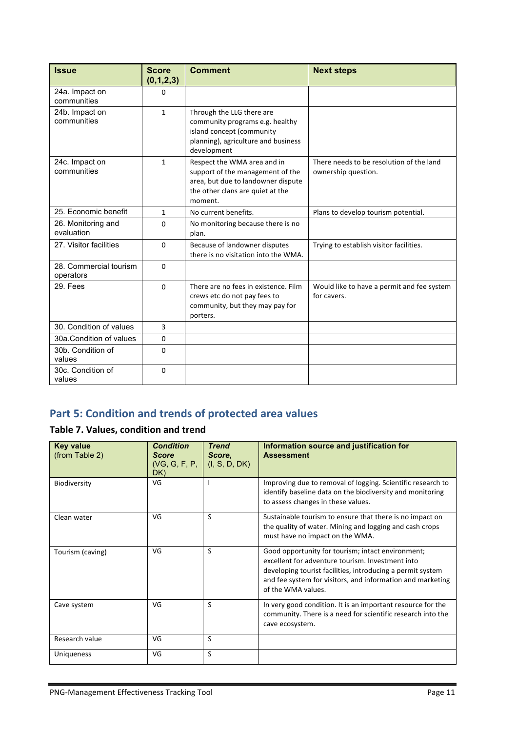| <b>Issue</b>                        | <b>Score</b><br>(0,1,2,3) | <b>Comment</b>                                                                                                                                       | <b>Next steps</b>                                               |
|-------------------------------------|---------------------------|------------------------------------------------------------------------------------------------------------------------------------------------------|-----------------------------------------------------------------|
| 24a. Impact on<br>communities       | $\Omega$                  |                                                                                                                                                      |                                                                 |
| 24b. Impact on<br>communities       | $\mathbf{1}$              | Through the LLG there are<br>community programs e.g. healthy<br>island concept (community<br>planning), agriculture and business<br>development      |                                                                 |
| 24c. Impact on<br>communities       | $\mathbf{1}$              | Respect the WMA area and in<br>support of the management of the<br>area, but due to landowner dispute<br>the other clans are quiet at the<br>moment. | There needs to be resolution of the land<br>ownership question. |
| 25. Economic benefit                | $\mathbf{1}$              | No current benefits.                                                                                                                                 | Plans to develop tourism potential.                             |
| 26. Monitoring and<br>evaluation    | $\Omega$                  | No monitoring because there is no<br>plan.                                                                                                           |                                                                 |
| 27. Visitor facilities              | $\Omega$                  | Because of landowner disputes<br>there is no visitation into the WMA.                                                                                | Trying to establish visitor facilities.                         |
| 28. Commercial tourism<br>operators | $\Omega$                  |                                                                                                                                                      |                                                                 |
| 29. Fees                            | $\Omega$                  | There are no fees in existence. Film<br>crews etc do not pay fees to<br>community, but they may pay for<br>porters.                                  | Would like to have a permit and fee system<br>for cavers.       |
| 30. Condition of values             | 3                         |                                                                                                                                                      |                                                                 |
| 30a.Condition of values             | $\Omega$                  |                                                                                                                                                      |                                                                 |
| 30b. Condition of<br>values         | $\Omega$                  |                                                                                                                                                      |                                                                 |
| 30c. Condition of<br>values         | $\Omega$                  |                                                                                                                                                      |                                                                 |

# **Part 5: Condition and trends of protected area values**

### **Table 7. Values, condition and trend**

| <b>Key value</b><br>(from Table 2) | <b>Condition</b><br><b>Score</b><br>(VG, G, F, P, P)<br>DK) | <b>Trend</b><br>Score.<br>(I, S, D, DK) | Information source and justification for<br><b>Assessment</b>                                                                                                                                                                                           |
|------------------------------------|-------------------------------------------------------------|-----------------------------------------|---------------------------------------------------------------------------------------------------------------------------------------------------------------------------------------------------------------------------------------------------------|
| Biodiversity                       | VG                                                          |                                         | Improving due to removal of logging. Scientific research to<br>identify baseline data on the biodiversity and monitoring<br>to assess changes in these values.                                                                                          |
| Clean water                        | VG                                                          | S                                       | Sustainable tourism to ensure that there is no impact on<br>the quality of water. Mining and logging and cash crops<br>must have no impact on the WMA.                                                                                                  |
| Tourism (caving)                   | VG                                                          | S                                       | Good opportunity for tourism; intact environment;<br>excellent for adventure tourism. Investment into<br>developing tourist facilities, introducing a permit system<br>and fee system for visitors, and information and marketing<br>of the WMA values. |
| Cave system                        | VG                                                          | S                                       | In very good condition. It is an important resource for the<br>community. There is a need for scientific research into the<br>cave ecosystem.                                                                                                           |
| Research value                     | VG                                                          | S                                       |                                                                                                                                                                                                                                                         |
| Uniqueness                         | VG                                                          | S                                       |                                                                                                                                                                                                                                                         |